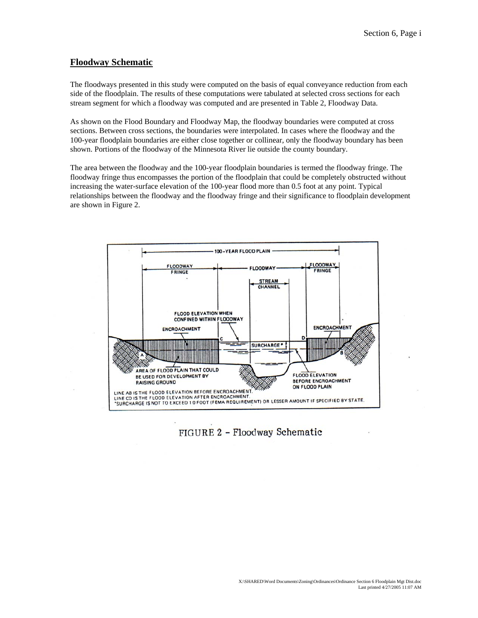## **Floodway Schematic**

The floodways presented in this study were computed on the basis of equal conveyance reduction from each side of the floodplain. The results of these computations were tabulated at selected cross sections for each stream segment for which a floodway was computed and are presented in Table 2, Floodway Data.

As shown on the Flood Boundary and Floodway Map, the floodway boundaries were computed at cross sections. Between cross sections, the boundaries were interpolated. In cases where the floodway and the 100-year floodplain boundaries are either close together or collinear, only the floodway boundary has been shown. Portions of the floodway of the Minnesota River lie outside the county boundary.

The area between the floodway and the 100-year floodplain boundaries is termed the floodway fringe. The floodway fringe thus encompasses the portion of the floodplain that could be completely obstructed without increasing the water-surface elevation of the 100-year flood more than 0.5 foot at any point. Typical relationships between the floodway and the floodway fringe and their significance to floodplain development are shown in Figure 2.



FIGURE 2 - Floodway Schematic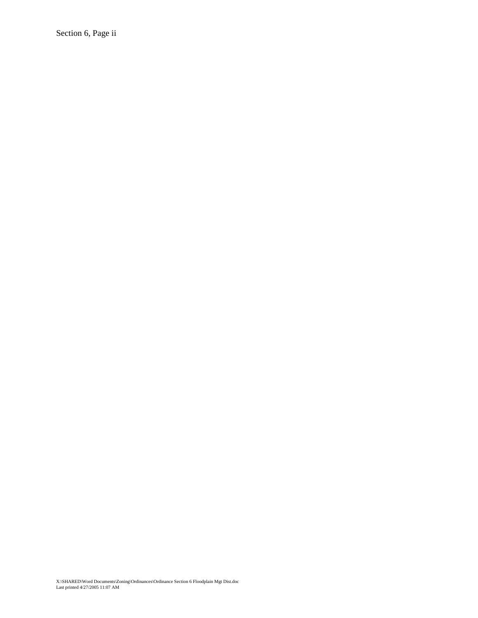Section 6, Page ii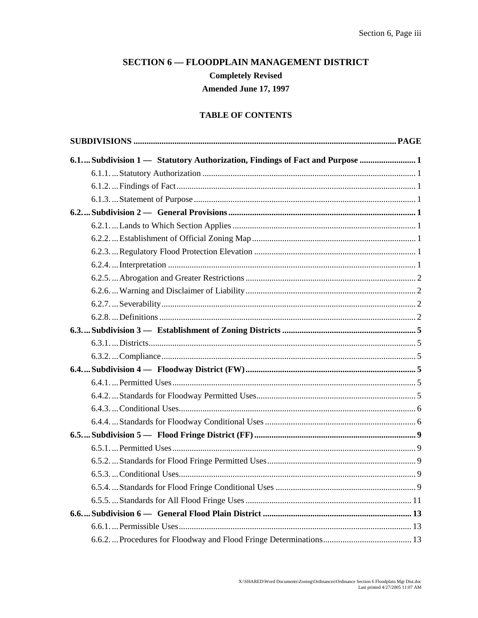# **SECTION 6 - FLOODPLAIN MANAGEMENT DISTRICT Completely Revised** Amended June 17, 1997

## **TABLE OF CONTENTS**

| 6.1 Subdivision 1 - Statutory Authorization, Findings of Fact and Purpose  1 |  |
|------------------------------------------------------------------------------|--|
|                                                                              |  |
|                                                                              |  |
|                                                                              |  |
|                                                                              |  |
|                                                                              |  |
|                                                                              |  |
|                                                                              |  |
|                                                                              |  |
|                                                                              |  |
|                                                                              |  |
|                                                                              |  |
|                                                                              |  |
|                                                                              |  |
|                                                                              |  |
|                                                                              |  |
|                                                                              |  |
|                                                                              |  |
|                                                                              |  |
|                                                                              |  |
|                                                                              |  |
|                                                                              |  |
|                                                                              |  |
|                                                                              |  |
|                                                                              |  |
|                                                                              |  |
|                                                                              |  |
|                                                                              |  |
|                                                                              |  |
|                                                                              |  |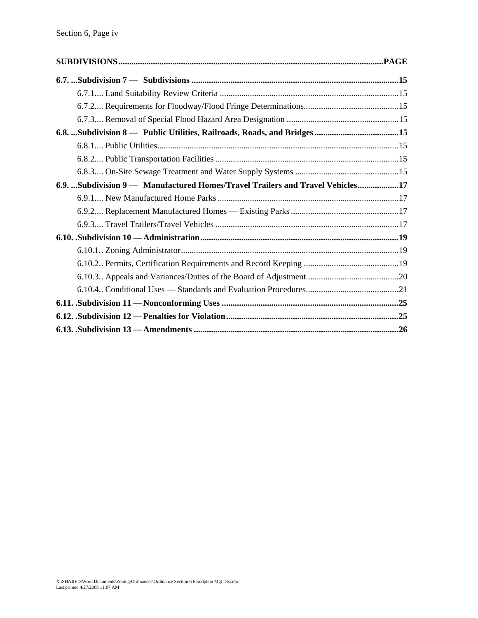| 6.8. Subdivision 8 - Public Utilities, Railroads, Roads, and Bridges 15       |  |  |  |
|-------------------------------------------------------------------------------|--|--|--|
|                                                                               |  |  |  |
|                                                                               |  |  |  |
|                                                                               |  |  |  |
| 6.9. Subdivision 9 - Manufactured Homes/Travel Trailers and Travel Vehicles17 |  |  |  |
|                                                                               |  |  |  |
|                                                                               |  |  |  |
|                                                                               |  |  |  |
|                                                                               |  |  |  |
|                                                                               |  |  |  |
|                                                                               |  |  |  |
|                                                                               |  |  |  |
|                                                                               |  |  |  |
|                                                                               |  |  |  |
|                                                                               |  |  |  |
|                                                                               |  |  |  |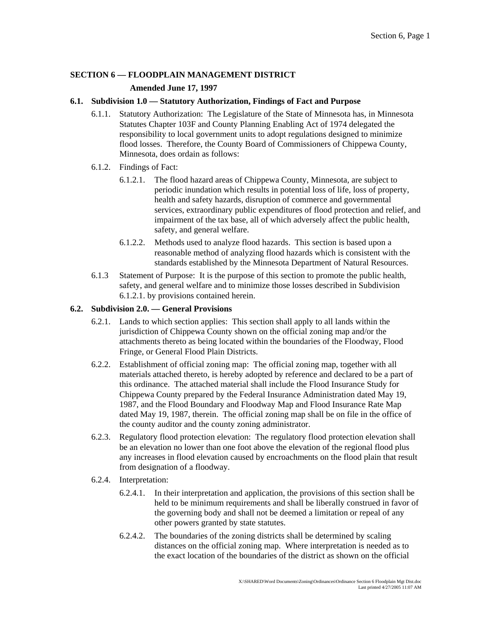# **SECTION 6 — FLOODPLAIN MANAGEMENT DISTRICT Amended June 17, 1997**

#### **6.1. Subdivision 1.0 — Statutory Authorization, Findings of Fact and Purpose**

- 6.1.1. Statutory Authorization: The Legislature of the State of Minnesota has, in Minnesota Statutes Chapter 103F and County Planning Enabling Act of 1974 delegated the responsibility to local government units to adopt regulations designed to minimize flood losses. Therefore, the County Board of Commissioners of Chippewa County, Minnesota, does ordain as follows:
- 6.1.2. Findings of Fact:
	- 6.1.2.1. The flood hazard areas of Chippewa County, Minnesota, are subject to periodic inundation which results in potential loss of life, loss of property, health and safety hazards, disruption of commerce and governmental services, extraordinary public expenditures of flood protection and relief, and impairment of the tax base, all of which adversely affect the public health, safety, and general welfare.
	- 6.1.2.2. Methods used to analyze flood hazards. This section is based upon a reasonable method of analyzing flood hazards which is consistent with the standards established by the Minnesota Department of Natural Resources.
- 6.1.3 Statement of Purpose: It is the purpose of this section to promote the public health, safety, and general welfare and to minimize those losses described in Subdivision 6.1.2.1. by provisions contained herein.

#### **6.2. Subdivision 2.0. — General Provisions**

- 6.2.1. Lands to which section applies: This section shall apply to all lands within the jurisdiction of Chippewa County shown on the official zoning map and/or the attachments thereto as being located within the boundaries of the Floodway, Flood Fringe, or General Flood Plain Districts.
- 6.2.2. Establishment of official zoning map: The official zoning map, together with all materials attached thereto, is hereby adopted by reference and declared to be a part of this ordinance. The attached material shall include the Flood Insurance Study for Chippewa County prepared by the Federal Insurance Administration dated May 19, 1987, and the Flood Boundary and Floodway Map and Flood Insurance Rate Map dated May 19, 1987, therein. The official zoning map shall be on file in the office of the county auditor and the county zoning administrator.
- 6.2.3. Regulatory flood protection elevation: The regulatory flood protection elevation shall be an elevation no lower than one foot above the elevation of the regional flood plus any increases in flood elevation caused by encroachments on the flood plain that result from designation of a floodway.
- 6.2.4. Interpretation:
	- 6.2.4.1. In their interpretation and application, the provisions of this section shall be held to be minimum requirements and shall be liberally construed in favor of the governing body and shall not be deemed a limitation or repeal of any other powers granted by state statutes.
	- 6.2.4.2. The boundaries of the zoning districts shall be determined by scaling distances on the official zoning map. Where interpretation is needed as to the exact location of the boundaries of the district as shown on the official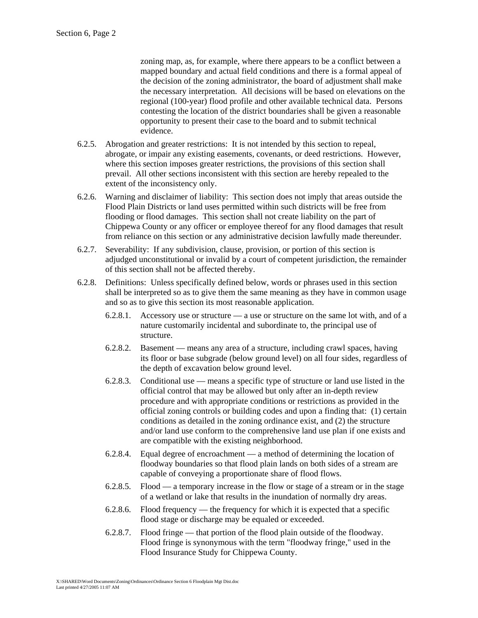zoning map, as, for example, where there appears to be a conflict between a mapped boundary and actual field conditions and there is a formal appeal of the decision of the zoning administrator, the board of adjustment shall make the necessary interpretation. All decisions will be based on elevations on the regional (100-year) flood profile and other available technical data. Persons contesting the location of the district boundaries shall be given a reasonable opportunity to present their case to the board and to submit technical evidence.

- 6.2.5. Abrogation and greater restrictions: It is not intended by this section to repeal, abrogate, or impair any existing easements, covenants, or deed restrictions. However, where this section imposes greater restrictions, the provisions of this section shall prevail. All other sections inconsistent with this section are hereby repealed to the extent of the inconsistency only.
- 6.2.6. Warning and disclaimer of liability: This section does not imply that areas outside the Flood Plain Districts or land uses permitted within such districts will be free from flooding or flood damages. This section shall not create liability on the part of Chippewa County or any officer or employee thereof for any flood damages that result from reliance on this section or any administrative decision lawfully made thereunder.
- 6.2.7. Severability: If any subdivision, clause, provision, or portion of this section is adjudged unconstitutional or invalid by a court of competent jurisdiction, the remainder of this section shall not be affected thereby.
- 6.2.8. Definitions: Unless specifically defined below, words or phrases used in this section shall be interpreted so as to give them the same meaning as they have in common usage and so as to give this section its most reasonable application.
	- 6.2.8.1. Accessory use or structure a use or structure on the same lot with, and of a nature customarily incidental and subordinate to, the principal use of structure.
	- 6.2.8.2. Basement means any area of a structure, including crawl spaces, having its floor or base subgrade (below ground level) on all four sides, regardless of the depth of excavation below ground level.
	- 6.2.8.3. Conditional use means a specific type of structure or land use listed in the official control that may be allowed but only after an in-depth review procedure and with appropriate conditions or restrictions as provided in the official zoning controls or building codes and upon a finding that: (1) certain conditions as detailed in the zoning ordinance exist, and (2) the structure and/or land use conform to the comprehensive land use plan if one exists and are compatible with the existing neighborhood.
	- 6.2.8.4. Equal degree of encroachment a method of determining the location of floodway boundaries so that flood plain lands on both sides of a stream are capable of conveying a proportionate share of flood flows.
	- 6.2.8.5. Flood a temporary increase in the flow or stage of a stream or in the stage of a wetland or lake that results in the inundation of normally dry areas.
	- 6.2.8.6. Flood frequency the frequency for which it is expected that a specific flood stage or discharge may be equaled or exceeded.
	- 6.2.8.7. Flood fringe that portion of the flood plain outside of the floodway. Flood fringe is synonymous with the term "floodway fringe," used in the Flood Insurance Study for Chippewa County.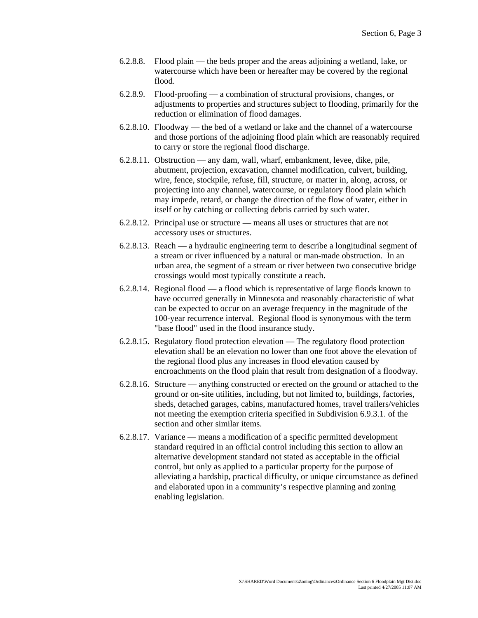- 6.2.8.8. Flood plain the beds proper and the areas adjoining a wetland, lake, or watercourse which have been or hereafter may be covered by the regional flood.
- 6.2.8.9. Flood-proofing a combination of structural provisions, changes, or adjustments to properties and structures subject to flooding, primarily for the reduction or elimination of flood damages.
- 6.2.8.10. Floodway the bed of a wetland or lake and the channel of a watercourse and those portions of the adjoining flood plain which are reasonably required to carry or store the regional flood discharge.
- 6.2.8.11. Obstruction any dam, wall, wharf, embankment, levee, dike, pile, abutment, projection, excavation, channel modification, culvert, building, wire, fence, stockpile, refuse, fill, structure, or matter in, along, across, or projecting into any channel, watercourse, or regulatory flood plain which may impede, retard, or change the direction of the flow of water, either in itself or by catching or collecting debris carried by such water.
- 6.2.8.12. Principal use or structure means all uses or structures that are not accessory uses or structures.
- 6.2.8.13. Reach a hydraulic engineering term to describe a longitudinal segment of a stream or river influenced by a natural or man-made obstruction. In an urban area, the segment of a stream or river between two consecutive bridge crossings would most typically constitute a reach.
- 6.2.8.14. Regional flood a flood which is representative of large floods known to have occurred generally in Minnesota and reasonably characteristic of what can be expected to occur on an average frequency in the magnitude of the 100-year recurrence interval. Regional flood is synonymous with the term "base flood" used in the flood insurance study.
- 6.2.8.15. Regulatory flood protection elevation The regulatory flood protection elevation shall be an elevation no lower than one foot above the elevation of the regional flood plus any increases in flood elevation caused by encroachments on the flood plain that result from designation of a floodway.
- 6.2.8.16. Structure anything constructed or erected on the ground or attached to the ground or on-site utilities, including, but not limited to, buildings, factories, sheds, detached garages, cabins, manufactured homes, travel trailers/vehicles not meeting the exemption criteria specified in Subdivision 6.9.3.1. of the section and other similar items.
- 6.2.8.17. Variance means a modification of a specific permitted development standard required in an official control including this section to allow an alternative development standard not stated as acceptable in the official control, but only as applied to a particular property for the purpose of alleviating a hardship, practical difficulty, or unique circumstance as defined and elaborated upon in a community's respective planning and zoning enabling legislation.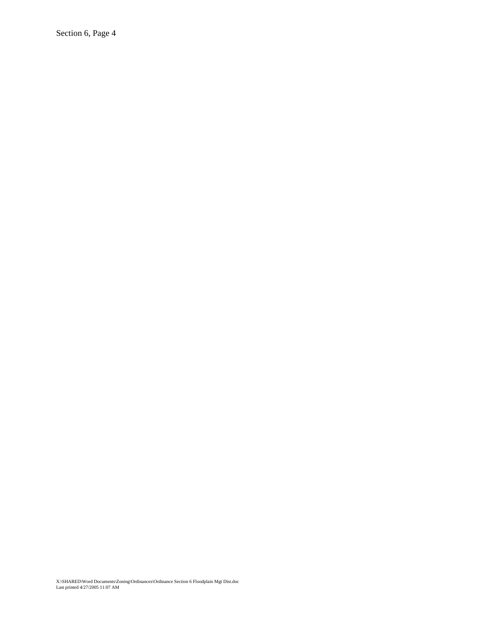Section 6, Page 4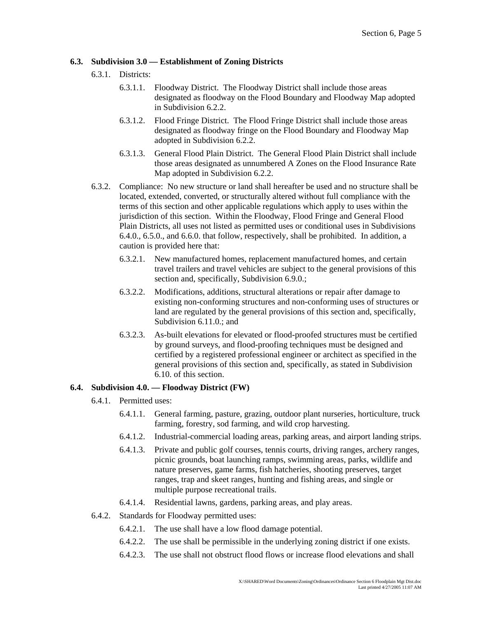## **6.3. Subdivision 3.0 — Establishment of Zoning Districts**

- 6.3.1. Districts:
	- 6.3.1.1. Floodway District. The Floodway District shall include those areas designated as floodway on the Flood Boundary and Floodway Map adopted in Subdivision 6.2.2.
	- 6.3.1.2. Flood Fringe District. The Flood Fringe District shall include those areas designated as floodway fringe on the Flood Boundary and Floodway Map adopted in Subdivision 6.2.2.
	- 6.3.1.3. General Flood Plain District. The General Flood Plain District shall include those areas designated as unnumbered A Zones on the Flood Insurance Rate Map adopted in Subdivision 6.2.2.
- 6.3.2. Compliance: No new structure or land shall hereafter be used and no structure shall be located, extended, converted, or structurally altered without full compliance with the terms of this section and other applicable regulations which apply to uses within the jurisdiction of this section. Within the Floodway, Flood Fringe and General Flood Plain Districts, all uses not listed as permitted uses or conditional uses in Subdivisions 6.4.0., 6.5.0., and 6.6.0. that follow, respectively, shall be prohibited. In addition, a caution is provided here that:
	- 6.3.2.1. New manufactured homes, replacement manufactured homes, and certain travel trailers and travel vehicles are subject to the general provisions of this section and, specifically, Subdivision 6.9.0.;
	- 6.3.2.2. Modifications, additions, structural alterations or repair after damage to existing non-conforming structures and non-conforming uses of structures or land are regulated by the general provisions of this section and, specifically, Subdivision 6.11.0.; and
	- 6.3.2.3. As-built elevations for elevated or flood-proofed structures must be certified by ground surveys, and flood-proofing techniques must be designed and certified by a registered professional engineer or architect as specified in the general provisions of this section and, specifically, as stated in Subdivision 6.10. of this section.

# **6.4. Subdivision 4.0. — Floodway District (FW)**

- 6.4.1. Permitted uses:
	- 6.4.1.1. General farming, pasture, grazing, outdoor plant nurseries, horticulture, truck farming, forestry, sod farming, and wild crop harvesting.
	- 6.4.1.2. Industrial-commercial loading areas, parking areas, and airport landing strips.
	- 6.4.1.3. Private and public golf courses, tennis courts, driving ranges, archery ranges, picnic grounds, boat launching ramps, swimming areas, parks, wildlife and nature preserves, game farms, fish hatcheries, shooting preserves, target ranges, trap and skeet ranges, hunting and fishing areas, and single or multiple purpose recreational trails.
	- 6.4.1.4. Residential lawns, gardens, parking areas, and play areas.
- 6.4.2. Standards for Floodway permitted uses:
	- 6.4.2.1. The use shall have a low flood damage potential.
	- 6.4.2.2. The use shall be permissible in the underlying zoning district if one exists.
	- 6.4.2.3. The use shall not obstruct flood flows or increase flood elevations and shall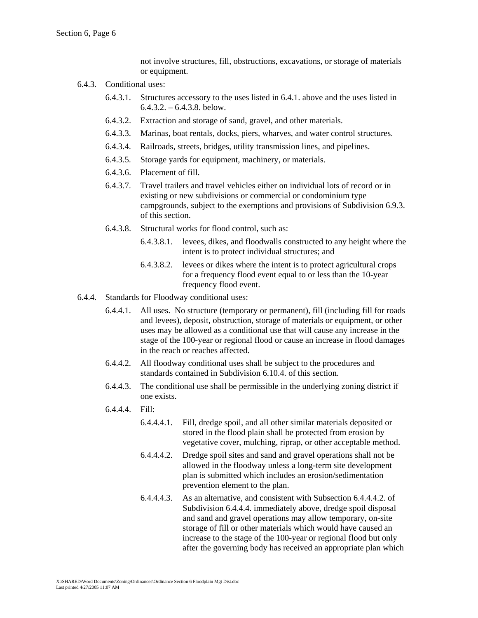not involve structures, fill, obstructions, excavations, or storage of materials or equipment.

- 6.4.3. Conditional uses:
	- 6.4.3.1. Structures accessory to the uses listed in 6.4.1. above and the uses listed in  $6.4.3.2 - 6.4.3.8$ . below.
	- 6.4.3.2. Extraction and storage of sand, gravel, and other materials.
	- 6.4.3.3. Marinas, boat rentals, docks, piers, wharves, and water control structures.
	- 6.4.3.4. Railroads, streets, bridges, utility transmission lines, and pipelines.
	- 6.4.3.5. Storage yards for equipment, machinery, or materials.
	- 6.4.3.6. Placement of fill.
	- 6.4.3.7. Travel trailers and travel vehicles either on individual lots of record or in existing or new subdivisions or commercial or condominium type campgrounds, subject to the exemptions and provisions of Subdivision 6.9.3. of this section.
	- 6.4.3.8. Structural works for flood control, such as:
		- 6.4.3.8.1. levees, dikes, and floodwalls constructed to any height where the intent is to protect individual structures; and
		- 6.4.3.8.2. levees or dikes where the intent is to protect agricultural crops for a frequency flood event equal to or less than the 10-year frequency flood event.
- 6.4.4. Standards for Floodway conditional uses:
	- 6.4.4.1. All uses. No structure (temporary or permanent), fill (including fill for roads and levees), deposit, obstruction, storage of materials or equipment, or other uses may be allowed as a conditional use that will cause any increase in the stage of the 100-year or regional flood or cause an increase in flood damages in the reach or reaches affected.
	- 6.4.4.2. All floodway conditional uses shall be subject to the procedures and standards contained in Subdivision 6.10.4. of this section.
	- 6.4.4.3. The conditional use shall be permissible in the underlying zoning district if one exists.
	- 6.4.4.4. Fill:
		- 6.4.4.4.1. Fill, dredge spoil, and all other similar materials deposited or stored in the flood plain shall be protected from erosion by vegetative cover, mulching, riprap, or other acceptable method.
		- 6.4.4.4.2. Dredge spoil sites and sand and gravel operations shall not be allowed in the floodway unless a long-term site development plan is submitted which includes an erosion/sedimentation prevention element to the plan.
		- 6.4.4.4.3. As an alternative, and consistent with Subsection 6.4.4.4.2. of Subdivision 6.4.4.4. immediately above, dredge spoil disposal and sand and gravel operations may allow temporary, on-site storage of fill or other materials which would have caused an increase to the stage of the 100-year or regional flood but only after the governing body has received an appropriate plan which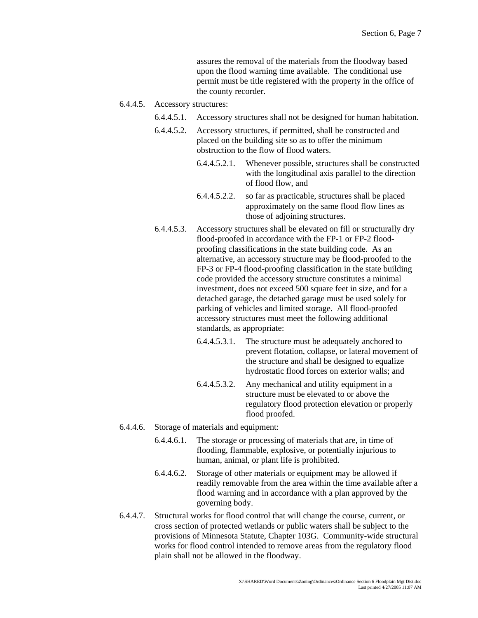assures the removal of the materials from the floodway based upon the flood warning time available. The conditional use permit must be title registered with the property in the office of the county recorder.

- 6.4.4.5. Accessory structures:
	- 6.4.4.5.1. Accessory structures shall not be designed for human habitation.
	- 6.4.4.5.2. Accessory structures, if permitted, shall be constructed and placed on the building site so as to offer the minimum obstruction to the flow of flood waters.
		- 6.4.4.5.2.1. Whenever possible, structures shall be constructed with the longitudinal axis parallel to the direction of flood flow, and
		- 6.4.4.5.2.2. so far as practicable, structures shall be placed approximately on the same flood flow lines as those of adjoining structures.
	- 6.4.4.5.3. Accessory structures shall be elevated on fill or structurally dry flood-proofed in accordance with the FP-1 or FP-2 floodproofing classifications in the state building code. As an alternative, an accessory structure may be flood-proofed to the FP-3 or FP-4 flood-proofing classification in the state building code provided the accessory structure constitutes a minimal investment, does not exceed 500 square feet in size, and for a detached garage, the detached garage must be used solely for parking of vehicles and limited storage. All flood-proofed accessory structures must meet the following additional standards, as appropriate:
		- 6.4.4.5.3.1. The structure must be adequately anchored to prevent flotation, collapse, or lateral movement of the structure and shall be designed to equalize hydrostatic flood forces on exterior walls; and
		- 6.4.4.5.3.2. Any mechanical and utility equipment in a structure must be elevated to or above the regulatory flood protection elevation or properly flood proofed.
- 6.4.4.6. Storage of materials and equipment:
	- 6.4.4.6.1. The storage or processing of materials that are, in time of flooding, flammable, explosive, or potentially injurious to human, animal, or plant life is prohibited.
	- 6.4.4.6.2. Storage of other materials or equipment may be allowed if readily removable from the area within the time available after a flood warning and in accordance with a plan approved by the governing body.
- 6.4.4.7. Structural works for flood control that will change the course, current, or cross section of protected wetlands or public waters shall be subject to the provisions of Minnesota Statute, Chapter 103G. Community-wide structural works for flood control intended to remove areas from the regulatory flood plain shall not be allowed in the floodway.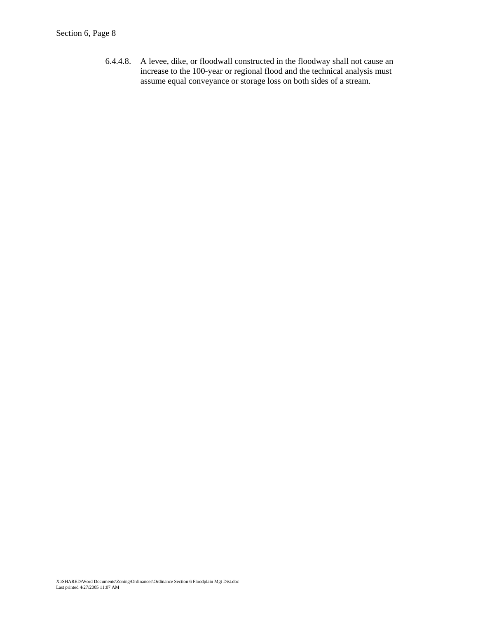6.4.4.8. A levee, dike, or floodwall constructed in the floodway shall not cause an increase to the 100-year or regional flood and the technical analysis must assume equal conveyance or storage loss on both sides of a stream.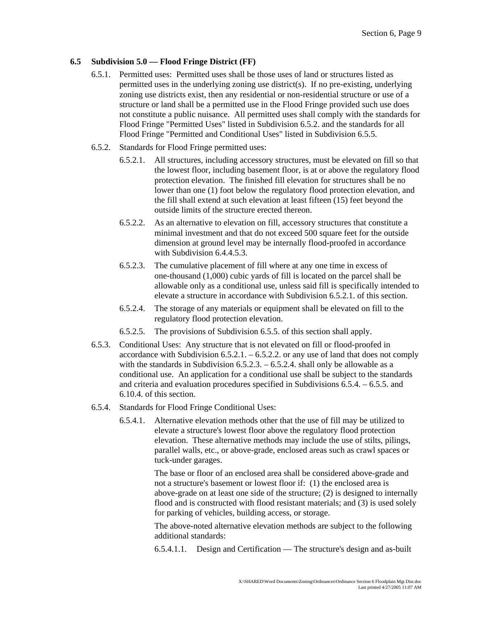#### **6.5 Subdivision 5.0 — Flood Fringe District (FF)**

- 6.5.1. Permitted uses: Permitted uses shall be those uses of land or structures listed as permitted uses in the underlying zoning use district(s). If no pre-existing, underlying zoning use districts exist, then any residential or non-residential structure or use of a structure or land shall be a permitted use in the Flood Fringe provided such use does not constitute a public nuisance. All permitted uses shall comply with the standards for Flood Fringe "Permitted Uses" listed in Subdivision 6.5.2. and the standards for all Flood Fringe "Permitted and Conditional Uses" listed in Subdivision 6.5.5.
- 6.5.2. Standards for Flood Fringe permitted uses:
	- 6.5.2.1. All structures, including accessory structures, must be elevated on fill so that the lowest floor, including basement floor, is at or above the regulatory flood protection elevation. The finished fill elevation for structures shall be no lower than one (1) foot below the regulatory flood protection elevation, and the fill shall extend at such elevation at least fifteen (15) feet beyond the outside limits of the structure erected thereon.
	- 6.5.2.2. As an alternative to elevation on fill, accessory structures that constitute a minimal investment and that do not exceed 500 square feet for the outside dimension at ground level may be internally flood-proofed in accordance with Subdivision 6.4.4.5.3.
	- 6.5.2.3. The cumulative placement of fill where at any one time in excess of one-thousand (1,000) cubic yards of fill is located on the parcel shall be allowable only as a conditional use, unless said fill is specifically intended to elevate a structure in accordance with Subdivision 6.5.2.1. of this section.
	- 6.5.2.4. The storage of any materials or equipment shall be elevated on fill to the regulatory flood protection elevation.
	- 6.5.2.5. The provisions of Subdivision 6.5.5. of this section shall apply.
- 6.5.3. Conditional Uses: Any structure that is not elevated on fill or flood-proofed in accordance with Subdivision  $6.5.2.1. - 6.5.2.2$ . or any use of land that does not comply with the standards in Subdivision  $6.5.2.3. - 6.5.2.4$ . shall only be allowable as a conditional use. An application for a conditional use shall be subject to the standards and criteria and evaluation procedures specified in Subdivisions 6.5.4. – 6.5.5. and 6.10.4. of this section.
- 6.5.4. Standards for Flood Fringe Conditional Uses:
	- 6.5.4.1. Alternative elevation methods other that the use of fill may be utilized to elevate a structure's lowest floor above the regulatory flood protection elevation. These alternative methods may include the use of stilts, pilings, parallel walls, etc., or above-grade, enclosed areas such as crawl spaces or tuck-under garages.

 The base or floor of an enclosed area shall be considered above-grade and not a structure's basement or lowest floor if: (1) the enclosed area is above-grade on at least one side of the structure; (2) is designed to internally flood and is constructed with flood resistant materials; and (3) is used solely for parking of vehicles, building access, or storage.

 The above-noted alternative elevation methods are subject to the following additional standards:

6.5.4.1.1. Design and Certification — The structure's design and as-built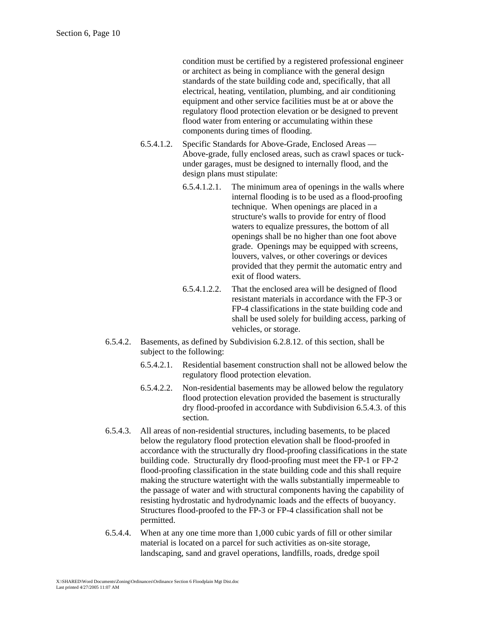condition must be certified by a registered professional engineer or architect as being in compliance with the general design standards of the state building code and, specifically, that all electrical, heating, ventilation, plumbing, and air conditioning equipment and other service facilities must be at or above the regulatory flood protection elevation or be designed to prevent flood water from entering or accumulating within these components during times of flooding.

- 6.5.4.1.2. Specific Standards for Above-Grade, Enclosed Areas Above-grade, fully enclosed areas, such as crawl spaces or tuckunder garages, must be designed to internally flood, and the design plans must stipulate:
	- 6.5.4.1.2.1. The minimum area of openings in the walls where internal flooding is to be used as a flood-proofing technique. When openings are placed in a structure's walls to provide for entry of flood waters to equalize pressures, the bottom of all openings shall be no higher than one foot above grade. Openings may be equipped with screens, louvers, valves, or other coverings or devices provided that they permit the automatic entry and exit of flood waters.
	- 6.5.4.1.2.2. That the enclosed area will be designed of flood resistant materials in accordance with the FP-3 or FP-4 classifications in the state building code and shall be used solely for building access, parking of vehicles, or storage.
- 6.5.4.2. Basements, as defined by Subdivision 6.2.8.12. of this section, shall be subject to the following:
	- 6.5.4.2.1. Residential basement construction shall not be allowed below the regulatory flood protection elevation.
	- 6.5.4.2.2. Non-residential basements may be allowed below the regulatory flood protection elevation provided the basement is structurally dry flood-proofed in accordance with Subdivision 6.5.4.3. of this section.
- 6.5.4.3. All areas of non-residential structures, including basements, to be placed below the regulatory flood protection elevation shall be flood-proofed in accordance with the structurally dry flood-proofing classifications in the state building code. Structurally dry flood-proofing must meet the FP-1 or FP-2 flood-proofing classification in the state building code and this shall require making the structure watertight with the walls substantially impermeable to the passage of water and with structural components having the capability of resisting hydrostatic and hydrodynamic loads and the effects of buoyancy. Structures flood-proofed to the FP-3 or FP-4 classification shall not be permitted.
- 6.5.4.4. When at any one time more than 1,000 cubic yards of fill or other similar material is located on a parcel for such activities as on-site storage, landscaping, sand and gravel operations, landfills, roads, dredge spoil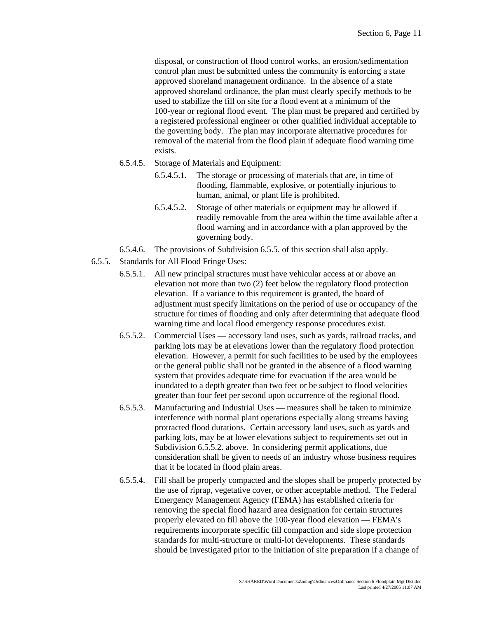disposal, or construction of flood control works, an erosion/sedimentation control plan must be submitted unless the community is enforcing a state approved shoreland management ordinance. In the absence of a state approved shoreland ordinance, the plan must clearly specify methods to be used to stabilize the fill on site for a flood event at a minimum of the 100-year or regional flood event. The plan must be prepared and certified by a registered professional engineer or other qualified individual acceptable to the governing body. The plan may incorporate alternative procedures for removal of the material from the flood plain if adequate flood warning time exists.

- 6.5.4.5. Storage of Materials and Equipment:
	- 6.5.4.5.1. The storage or processing of materials that are, in time of flooding, flammable, explosive, or potentially injurious to human, animal, or plant life is prohibited.
	- 6.5.4.5.2. Storage of other materials or equipment may be allowed if readily removable from the area within the time available after a flood warning and in accordance with a plan approved by the governing body.
- 6.5.4.6. The provisions of Subdivision 6.5.5. of this section shall also apply.
- 6.5.5. Standards for All Flood Fringe Uses:
	- 6.5.5.1. All new principal structures must have vehicular access at or above an elevation not more than two (2) feet below the regulatory flood protection elevation. If a variance to this requirement is granted, the board of adjustment must specify limitations on the period of use or occupancy of the structure for times of flooding and only after determining that adequate flood warning time and local flood emergency response procedures exist.
	- 6.5.5.2. Commercial Uses accessory land uses, such as yards, railroad tracks, and parking lots may be at elevations lower than the regulatory flood protection elevation. However, a permit for such facilities to be used by the employees or the general public shall not be granted in the absence of a flood warning system that provides adequate time for evacuation if the area would be inundated to a depth greater than two feet or be subject to flood velocities greater than four feet per second upon occurrence of the regional flood.
	- 6.5.5.3. Manufacturing and Industrial Uses measures shall be taken to minimize interference with normal plant operations especially along streams having protracted flood durations. Certain accessory land uses, such as yards and parking lots, may be at lower elevations subject to requirements set out in Subdivision 6.5.5.2. above. In considering permit applications, due consideration shall be given to needs of an industry whose business requires that it be located in flood plain areas.
	- 6.5.5.4. Fill shall be properly compacted and the slopes shall be properly protected by the use of riprap, vegetative cover, or other acceptable method. The Federal Emergency Management Agency (FEMA) has established criteria for removing the special flood hazard area designation for certain structures properly elevated on fill above the 100-year flood elevation — FEMA's requirements incorporate specific fill compaction and side slope protection standards for multi-structure or multi-lot developments. These standards should be investigated prior to the initiation of site preparation if a change of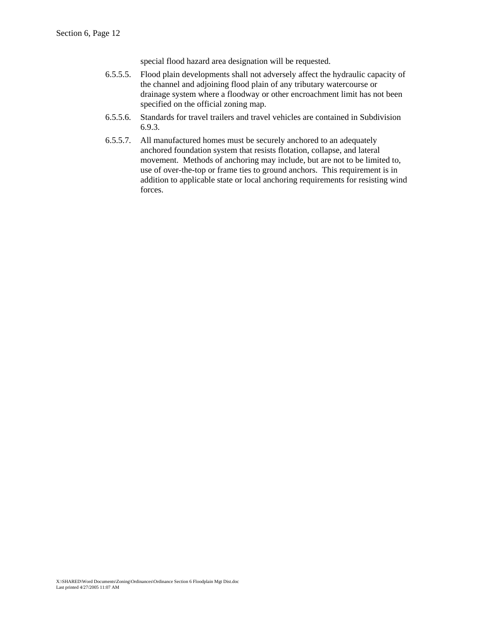special flood hazard area designation will be requested.

- 6.5.5.5. Flood plain developments shall not adversely affect the hydraulic capacity of the channel and adjoining flood plain of any tributary watercourse or drainage system where a floodway or other encroachment limit has not been specified on the official zoning map.
- 6.5.5.6. Standards for travel trailers and travel vehicles are contained in Subdivision 6.9.3.
- 6.5.5.7. All manufactured homes must be securely anchored to an adequately anchored foundation system that resists flotation, collapse, and lateral movement. Methods of anchoring may include, but are not to be limited to, use of over-the-top or frame ties to ground anchors. This requirement is in addition to applicable state or local anchoring requirements for resisting wind forces.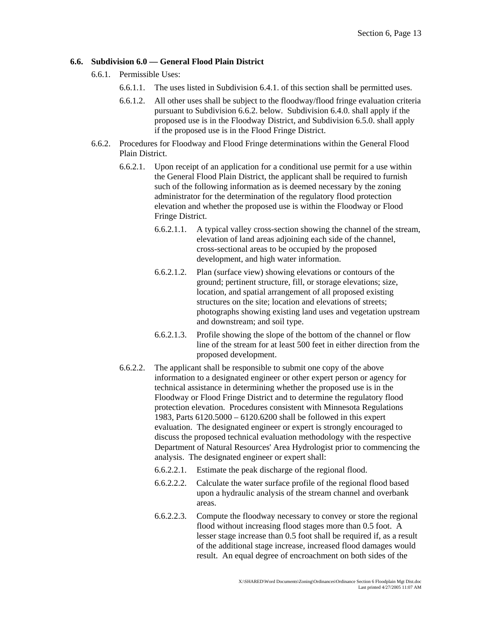#### **6.6. Subdivision 6.0 — General Flood Plain District**

- 6.6.1. Permissible Uses:
	- 6.6.1.1. The uses listed in Subdivision 6.4.1. of this section shall be permitted uses.
	- 6.6.1.2. All other uses shall be subject to the floodway/flood fringe evaluation criteria pursuant to Subdivision 6.6.2. below. Subdivision 6.4.0. shall apply if the proposed use is in the Floodway District, and Subdivision 6.5.0. shall apply if the proposed use is in the Flood Fringe District.
	- 6.6.2. Procedures for Floodway and Flood Fringe determinations within the General Flood Plain District.
		- 6.6.2.1. Upon receipt of an application for a conditional use permit for a use within the General Flood Plain District, the applicant shall be required to furnish such of the following information as is deemed necessary by the zoning administrator for the determination of the regulatory flood protection elevation and whether the proposed use is within the Floodway or Flood Fringe District.
			- 6.6.2.1.1. A typical valley cross-section showing the channel of the stream, elevation of land areas adjoining each side of the channel, cross-sectional areas to be occupied by the proposed development, and high water information.
			- 6.6.2.1.2. Plan (surface view) showing elevations or contours of the ground; pertinent structure, fill, or storage elevations; size, location, and spatial arrangement of all proposed existing structures on the site; location and elevations of streets; photographs showing existing land uses and vegetation upstream and downstream; and soil type.
			- 6.6.2.1.3. Profile showing the slope of the bottom of the channel or flow line of the stream for at least 500 feet in either direction from the proposed development.
		- 6.6.2.2. The applicant shall be responsible to submit one copy of the above information to a designated engineer or other expert person or agency for technical assistance in determining whether the proposed use is in the Floodway or Flood Fringe District and to determine the regulatory flood protection elevation. Procedures consistent with Minnesota Regulations 1983, Parts 6120.5000 – 6120.6200 shall be followed in this expert evaluation. The designated engineer or expert is strongly encouraged to discuss the proposed technical evaluation methodology with the respective Department of Natural Resources' Area Hydrologist prior to commencing the analysis. The designated engineer or expert shall:
			- 6.6.2.2.1. Estimate the peak discharge of the regional flood.
			- 6.6.2.2.2. Calculate the water surface profile of the regional flood based upon a hydraulic analysis of the stream channel and overbank areas.
			- 6.6.2.2.3. Compute the floodway necessary to convey or store the regional flood without increasing flood stages more than 0.5 foot. A lesser stage increase than 0.5 foot shall be required if, as a result of the additional stage increase, increased flood damages would result. An equal degree of encroachment on both sides of the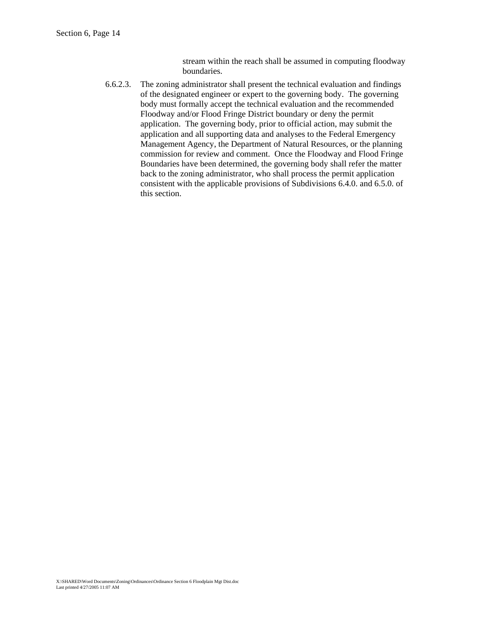stream within the reach shall be assumed in computing floodway boundaries.

6.6.2.3. The zoning administrator shall present the technical evaluation and findings of the designated engineer or expert to the governing body. The governing body must formally accept the technical evaluation and the recommended Floodway and/or Flood Fringe District boundary or deny the permit application. The governing body, prior to official action, may submit the application and all supporting data and analyses to the Federal Emergency Management Agency, the Department of Natural Resources, or the planning commission for review and comment. Once the Floodway and Flood Fringe Boundaries have been determined, the governing body shall refer the matter back to the zoning administrator, who shall process the permit application consistent with the applicable provisions of Subdivisions 6.4.0. and 6.5.0. of this section.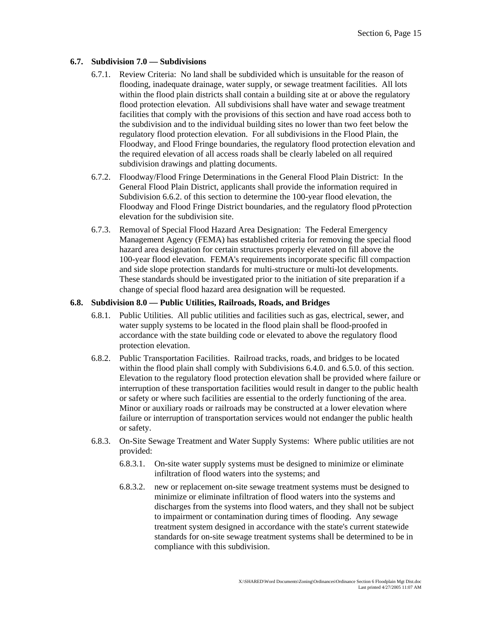#### **6.7. Subdivision 7.0 — Subdivisions**

- 6.7.1. Review Criteria: No land shall be subdivided which is unsuitable for the reason of flooding, inadequate drainage, water supply, or sewage treatment facilities. All lots within the flood plain districts shall contain a building site at or above the regulatory flood protection elevation. All subdivisions shall have water and sewage treatment facilities that comply with the provisions of this section and have road access both to the subdivision and to the individual building sites no lower than two feet below the regulatory flood protection elevation. For all subdivisions in the Flood Plain, the Floodway, and Flood Fringe boundaries, the regulatory flood protection elevation and the required elevation of all access roads shall be clearly labeled on all required subdivision drawings and platting documents.
- 6.7.2. Floodway/Flood Fringe Determinations in the General Flood Plain District: In the General Flood Plain District, applicants shall provide the information required in Subdivision 6.6.2. of this section to determine the 100-year flood elevation, the Floodway and Flood Fringe District boundaries, and the regulatory flood pProtection elevation for the subdivision site.
- 6.7.3. Removal of Special Flood Hazard Area Designation: The Federal Emergency Management Agency (FEMA) has established criteria for removing the special flood hazard area designation for certain structures properly elevated on fill above the 100-year flood elevation. FEMA's requirements incorporate specific fill compaction and side slope protection standards for multi-structure or multi-lot developments. These standards should be investigated prior to the initiation of site preparation if a change of special flood hazard area designation will be requested.

#### **6.8. Subdivision 8.0 — Public Utilities, Railroads, Roads, and Bridges**

- 6.8.1. Public Utilities. All public utilities and facilities such as gas, electrical, sewer, and water supply systems to be located in the flood plain shall be flood-proofed in accordance with the state building code or elevated to above the regulatory flood protection elevation.
- 6.8.2. Public Transportation Facilities. Railroad tracks, roads, and bridges to be located within the flood plain shall comply with Subdivisions 6.4.0. and 6.5.0. of this section. Elevation to the regulatory flood protection elevation shall be provided where failure or interruption of these transportation facilities would result in danger to the public health or safety or where such facilities are essential to the orderly functioning of the area. Minor or auxiliary roads or railroads may be constructed at a lower elevation where failure or interruption of transportation services would not endanger the public health or safety.
- 6.8.3. On-Site Sewage Treatment and Water Supply Systems: Where public utilities are not provided:
	- 6.8.3.1. On-site water supply systems must be designed to minimize or eliminate infiltration of flood waters into the systems; and
	- 6.8.3.2. new or replacement on-site sewage treatment systems must be designed to minimize or eliminate infiltration of flood waters into the systems and discharges from the systems into flood waters, and they shall not be subject to impairment or contamination during times of flooding. Any sewage treatment system designed in accordance with the state's current statewide standards for on-site sewage treatment systems shall be determined to be in compliance with this subdivision.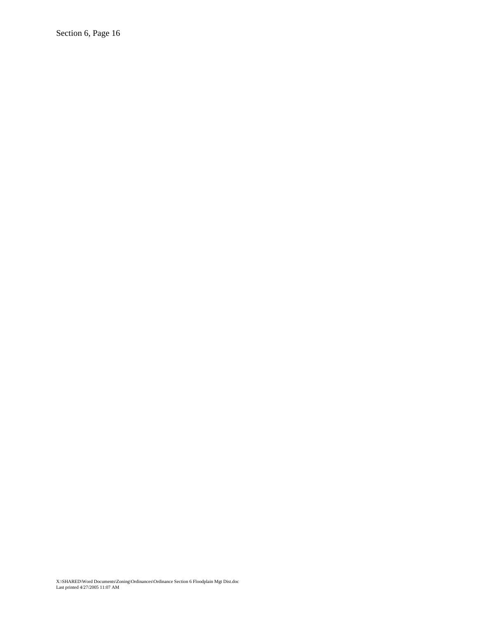Section 6, Page 16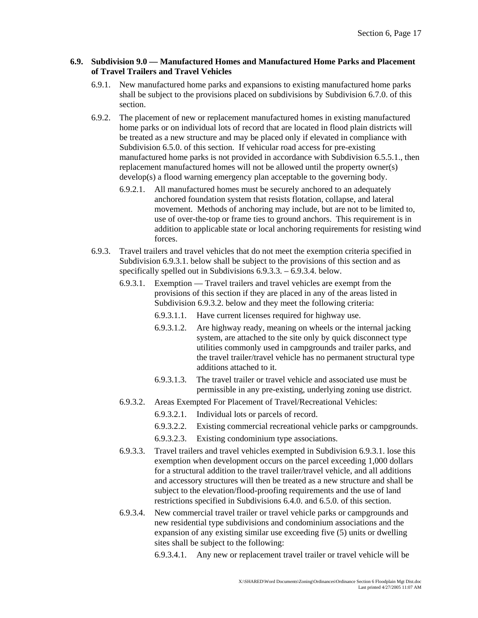## **6.9. Subdivision 9.0 — Manufactured Homes and Manufactured Home Parks and Placement of Travel Trailers and Travel Vehicles**

- 6.9.1. New manufactured home parks and expansions to existing manufactured home parks shall be subject to the provisions placed on subdivisions by Subdivision 6.7.0. of this section.
- 6.9.2. The placement of new or replacement manufactured homes in existing manufactured home parks or on individual lots of record that are located in flood plain districts will be treated as a new structure and may be placed only if elevated in compliance with Subdivision 6.5.0. of this section. If vehicular road access for pre-existing manufactured home parks is not provided in accordance with Subdivision 6.5.5.1., then replacement manufactured homes will not be allowed until the property owner(s) develop(s) a flood warning emergency plan acceptable to the governing body.
	- 6.9.2.1. All manufactured homes must be securely anchored to an adequately anchored foundation system that resists flotation, collapse, and lateral movement. Methods of anchoring may include, but are not to be limited to, use of over-the-top or frame ties to ground anchors. This requirement is in addition to applicable state or local anchoring requirements for resisting wind forces.
- 6.9.3. Travel trailers and travel vehicles that do not meet the exemption criteria specified in Subdivision 6.9.3.1. below shall be subject to the provisions of this section and as specifically spelled out in Subdivisions 6.9.3.3. – 6.9.3.4. below.
	- 6.9.3.1. Exemption Travel trailers and travel vehicles are exempt from the provisions of this section if they are placed in any of the areas listed in Subdivision 6.9.3.2. below and they meet the following criteria:
		- 6.9.3.1.1. Have current licenses required for highway use.
		- 6.9.3.1.2. Are highway ready, meaning on wheels or the internal jacking system, are attached to the site only by quick disconnect type utilities commonly used in campgrounds and trailer parks, and the travel trailer/travel vehicle has no permanent structural type additions attached to it.
		- 6.9.3.1.3. The travel trailer or travel vehicle and associated use must be permissible in any pre-existing, underlying zoning use district.
	- 6.9.3.2. Areas Exempted For Placement of Travel/Recreational Vehicles:
		- 6.9.3.2.1. Individual lots or parcels of record.
		- 6.9.3.2.2. Existing commercial recreational vehicle parks or campgrounds.
		- 6.9.3.2.3. Existing condominium type associations.
	- 6.9.3.3. Travel trailers and travel vehicles exempted in Subdivision 6.9.3.1. lose this exemption when development occurs on the parcel exceeding 1,000 dollars for a structural addition to the travel trailer/travel vehicle, and all additions and accessory structures will then be treated as a new structure and shall be subject to the elevation/flood-proofing requirements and the use of land restrictions specified in Subdivisions 6.4.0. and 6.5.0. of this section.
	- 6.9.3.4. New commercial travel trailer or travel vehicle parks or campgrounds and new residential type subdivisions and condominium associations and the expansion of any existing similar use exceeding five (5) units or dwelling sites shall be subject to the following:
		- 6.9.3.4.1. Any new or replacement travel trailer or travel vehicle will be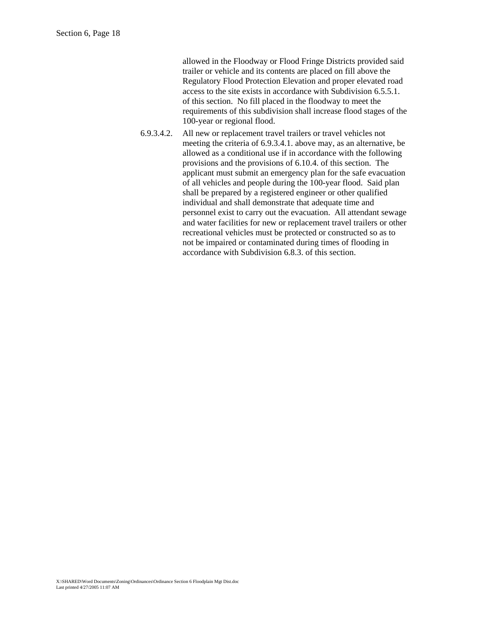allowed in the Floodway or Flood Fringe Districts provided said trailer or vehicle and its contents are placed on fill above the Regulatory Flood Protection Elevation and proper elevated road access to the site exists in accordance with Subdivision 6.5.5.1. of this section. No fill placed in the floodway to meet the requirements of this subdivision shall increase flood stages of the 100-year or regional flood.

6.9.3.4.2. All new or replacement travel trailers or travel vehicles not meeting the criteria of 6.9.3.4.1. above may, as an alternative, be allowed as a conditional use if in accordance with the following provisions and the provisions of 6.10.4. of this section. The applicant must submit an emergency plan for the safe evacuation of all vehicles and people during the 100-year flood. Said plan shall be prepared by a registered engineer or other qualified individual and shall demonstrate that adequate time and personnel exist to carry out the evacuation. All attendant sewage and water facilities for new or replacement travel trailers or other recreational vehicles must be protected or constructed so as to not be impaired or contaminated during times of flooding in accordance with Subdivision 6.8.3. of this section.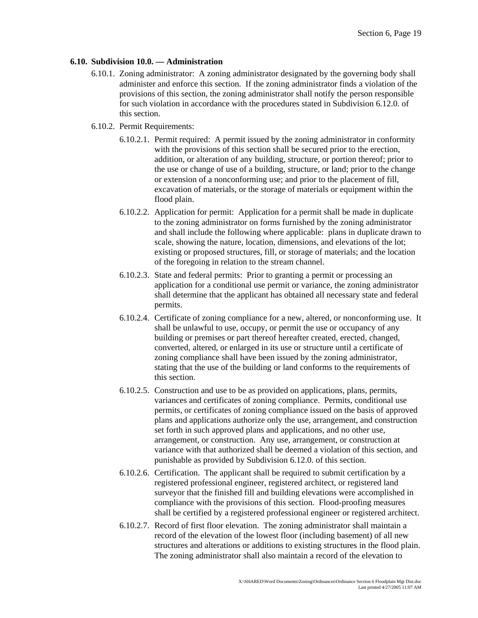#### **6.10. Subdivision 10.0. — Administration**

- 6.10.1. Zoning administrator: A zoning administrator designated by the governing body shall administer and enforce this section. If the zoning administrator finds a violation of the provisions of this section, the zoning administrator shall notify the person responsible for such violation in accordance with the procedures stated in Subdivision 6.12.0. of this section.
- 6.10.2. Permit Requirements:
	- 6.10.2.1. Permit required: A permit issued by the zoning administrator in conformity with the provisions of this section shall be secured prior to the erection, addition, or alteration of any building, structure, or portion thereof; prior to the use or change of use of a building, structure, or land; prior to the change or extension of a nonconforming use; and prior to the placement of fill, excavation of materials, or the storage of materials or equipment within the flood plain.
	- 6.10.2.2. Application for permit: Application for a permit shall be made in duplicate to the zoning administrator on forms furnished by the zoning administrator and shall include the following where applicable: plans in duplicate drawn to scale, showing the nature, location, dimensions, and elevations of the lot; existing or proposed structures, fill, or storage of materials; and the location of the foregoing in relation to the stream channel.
	- 6.10.2.3. State and federal permits: Prior to granting a permit or processing an application for a conditional use permit or variance, the zoning administrator shall determine that the applicant has obtained all necessary state and federal permits.
	- 6.10.2.4. Certificate of zoning compliance for a new, altered, or nonconforming use. It shall be unlawful to use, occupy, or permit the use or occupancy of any building or premises or part thereof hereafter created, erected, changed, converted, altered, or enlarged in its use or structure until a certificate of zoning compliance shall have been issued by the zoning administrator, stating that the use of the building or land conforms to the requirements of this section.
	- 6.10.2.5. Construction and use to be as provided on applications, plans, permits, variances and certificates of zoning compliance. Permits, conditional use permits, or certificates of zoning compliance issued on the basis of approved plans and applications authorize only the use, arrangement, and construction set forth in such approved plans and applications, and no other use, arrangement, or construction. Any use, arrangement, or construction at variance with that authorized shall be deemed a violation of this section, and punishable as provided by Subdivision 6.12.0. of this section.
	- 6.10.2.6. Certification. The applicant shall be required to submit certification by a registered professional engineer, registered architect, or registered land surveyor that the finished fill and building elevations were accomplished in compliance with the provisions of this section. Flood-proofing measures shall be certified by a registered professional engineer or registered architect.
	- 6.10.2.7. Record of first floor elevation. The zoning administrator shall maintain a record of the elevation of the lowest floor (including basement) of all new structures and alterations or additions to existing structures in the flood plain. The zoning administrator shall also maintain a record of the elevation to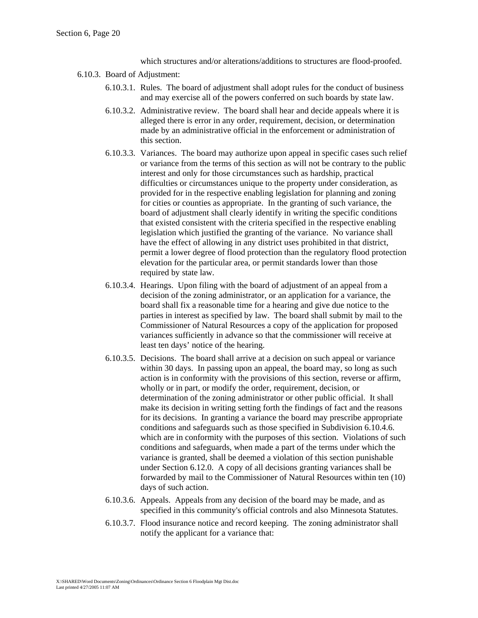which structures and/or alterations/additions to structures are flood-proofed.

- 6.10.3. Board of Adjustment:
	- 6.10.3.1. Rules. The board of adjustment shall adopt rules for the conduct of business and may exercise all of the powers conferred on such boards by state law.
	- 6.10.3.2. Administrative review. The board shall hear and decide appeals where it is alleged there is error in any order, requirement, decision, or determination made by an administrative official in the enforcement or administration of this section.
	- 6.10.3.3. Variances. The board may authorize upon appeal in specific cases such relief or variance from the terms of this section as will not be contrary to the public interest and only for those circumstances such as hardship, practical difficulties or circumstances unique to the property under consideration, as provided for in the respective enabling legislation for planning and zoning for cities or counties as appropriate. In the granting of such variance, the board of adjustment shall clearly identify in writing the specific conditions that existed consistent with the criteria specified in the respective enabling legislation which justified the granting of the variance. No variance shall have the effect of allowing in any district uses prohibited in that district, permit a lower degree of flood protection than the regulatory flood protection elevation for the particular area, or permit standards lower than those required by state law.
	- 6.10.3.4. Hearings. Upon filing with the board of adjustment of an appeal from a decision of the zoning administrator, or an application for a variance, the board shall fix a reasonable time for a hearing and give due notice to the parties in interest as specified by law. The board shall submit by mail to the Commissioner of Natural Resources a copy of the application for proposed variances sufficiently in advance so that the commissioner will receive at least ten days' notice of the hearing.
	- 6.10.3.5. Decisions. The board shall arrive at a decision on such appeal or variance within 30 days. In passing upon an appeal, the board may, so long as such action is in conformity with the provisions of this section, reverse or affirm, wholly or in part, or modify the order, requirement, decision, or determination of the zoning administrator or other public official. It shall make its decision in writing setting forth the findings of fact and the reasons for its decisions. In granting a variance the board may prescribe appropriate conditions and safeguards such as those specified in Subdivision 6.10.4.6. which are in conformity with the purposes of this section. Violations of such conditions and safeguards, when made a part of the terms under which the variance is granted, shall be deemed a violation of this section punishable under Section 6.12.0. A copy of all decisions granting variances shall be forwarded by mail to the Commissioner of Natural Resources within ten (10) days of such action.
	- 6.10.3.6. Appeals. Appeals from any decision of the board may be made, and as specified in this community's official controls and also Minnesota Statutes.
	- 6.10.3.7. Flood insurance notice and record keeping. The zoning administrator shall notify the applicant for a variance that: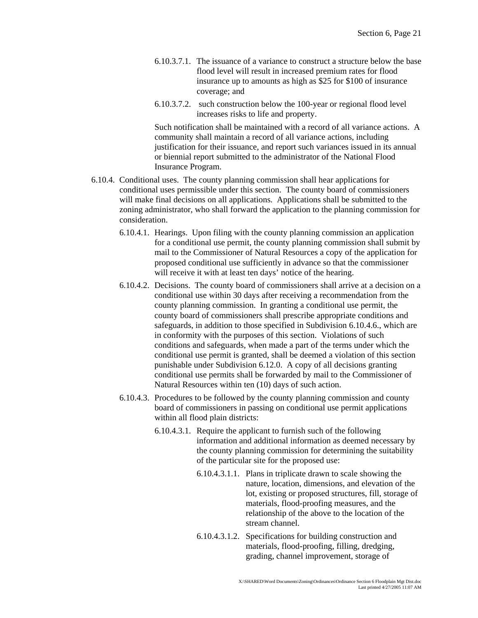- 6.10.3.7.1. The issuance of a variance to construct a structure below the base flood level will result in increased premium rates for flood insurance up to amounts as high as \$25 for \$100 of insurance coverage; and
- 6.10.3.7.2. such construction below the 100-year or regional flood level increases risks to life and property.

Such notification shall be maintained with a record of all variance actions. A community shall maintain a record of all variance actions, including justification for their issuance, and report such variances issued in its annual or biennial report submitted to the administrator of the National Flood Insurance Program.

- 6.10.4. Conditional uses. The county planning commission shall hear applications for conditional uses permissible under this section. The county board of commissioners will make final decisions on all applications. Applications shall be submitted to the zoning administrator, who shall forward the application to the planning commission for consideration.
	- 6.10.4.1. Hearings. Upon filing with the county planning commission an application for a conditional use permit, the county planning commission shall submit by mail to the Commissioner of Natural Resources a copy of the application for proposed conditional use sufficiently in advance so that the commissioner will receive it with at least ten days' notice of the hearing.
	- 6.10.4.2. Decisions. The county board of commissioners shall arrive at a decision on a conditional use within 30 days after receiving a recommendation from the county planning commission. In granting a conditional use permit, the county board of commissioners shall prescribe appropriate conditions and safeguards, in addition to those specified in Subdivision 6.10.4.6., which are in conformity with the purposes of this section. Violations of such conditions and safeguards, when made a part of the terms under which the conditional use permit is granted, shall be deemed a violation of this section punishable under Subdivision 6.12.0. A copy of all decisions granting conditional use permits shall be forwarded by mail to the Commissioner of Natural Resources within ten (10) days of such action.
	- 6.10.4.3. Procedures to be followed by the county planning commission and county board of commissioners in passing on conditional use permit applications within all flood plain districts:
		- 6.10.4.3.1. Require the applicant to furnish such of the following information and additional information as deemed necessary by the county planning commission for determining the suitability of the particular site for the proposed use:
			- 6.10.4.3.1.1. Plans in triplicate drawn to scale showing the nature, location, dimensions, and elevation of the lot, existing or proposed structures, fill, storage of materials, flood-proofing measures, and the relationship of the above to the location of the stream channel.
			- 6.10.4.3.1.2. Specifications for building construction and materials, flood-proofing, filling, dredging, grading, channel improvement, storage of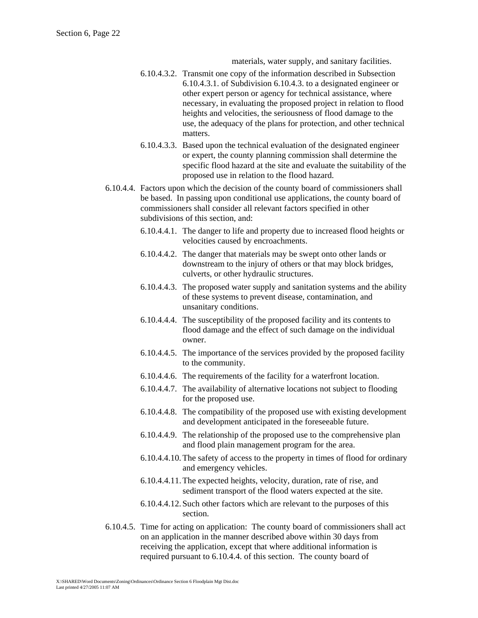materials, water supply, and sanitary facilities.

- 6.10.4.3.2. Transmit one copy of the information described in Subsection 6.10.4.3.1. of Subdivision 6.10.4.3. to a designated engineer or other expert person or agency for technical assistance, where necessary, in evaluating the proposed project in relation to flood heights and velocities, the seriousness of flood damage to the use, the adequacy of the plans for protection, and other technical matters.
- 6.10.4.3.3. Based upon the technical evaluation of the designated engineer or expert, the county planning commission shall determine the specific flood hazard at the site and evaluate the suitability of the proposed use in relation to the flood hazard.
- 6.10.4.4. Factors upon which the decision of the county board of commissioners shall be based. In passing upon conditional use applications, the county board of commissioners shall consider all relevant factors specified in other subdivisions of this section, and:
	- 6.10.4.4.1. The danger to life and property due to increased flood heights or velocities caused by encroachments.
	- 6.10.4.4.2. The danger that materials may be swept onto other lands or downstream to the injury of others or that may block bridges, culverts, or other hydraulic structures.
	- 6.10.4.4.3. The proposed water supply and sanitation systems and the ability of these systems to prevent disease, contamination, and unsanitary conditions.
	- 6.10.4.4.4. The susceptibility of the proposed facility and its contents to flood damage and the effect of such damage on the individual owner.
	- 6.10.4.4.5. The importance of the services provided by the proposed facility to the community.
	- 6.10.4.4.6. The requirements of the facility for a waterfront location.
	- 6.10.4.4.7. The availability of alternative locations not subject to flooding for the proposed use.
	- 6.10.4.4.8. The compatibility of the proposed use with existing development and development anticipated in the foreseeable future.
	- 6.10.4.4.9. The relationship of the proposed use to the comprehensive plan and flood plain management program for the area.
	- 6.10.4.4.10. The safety of access to the property in times of flood for ordinary and emergency vehicles.
	- 6.10.4.4.11. The expected heights, velocity, duration, rate of rise, and sediment transport of the flood waters expected at the site.
	- 6.10.4.4.12. Such other factors which are relevant to the purposes of this section.
- 6.10.4.5. Time for acting on application: The county board of commissioners shall act on an application in the manner described above within 30 days from receiving the application, except that where additional information is required pursuant to 6.10.4.4. of this section. The county board of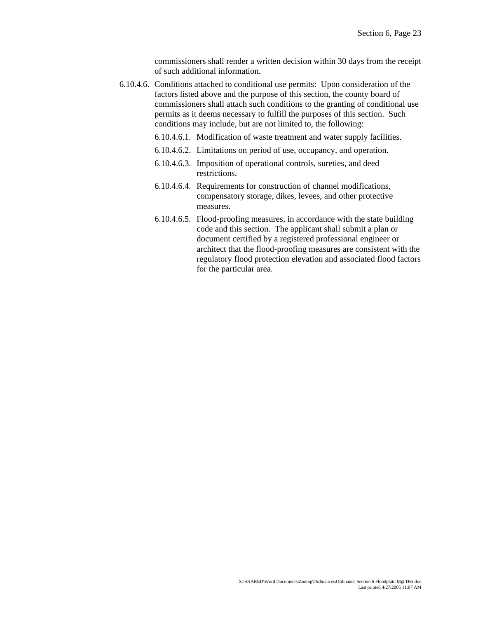commissioners shall render a written decision within 30 days from the receipt of such additional information.

- 6.10.4.6. Conditions attached to conditional use permits: Upon consideration of the factors listed above and the purpose of this section, the county board of commissioners shall attach such conditions to the granting of conditional use permits as it deems necessary to fulfill the purposes of this section. Such conditions may include, but are not limited to, the following:
	- 6.10.4.6.1. Modification of waste treatment and water supply facilities.
	- 6.10.4.6.2. Limitations on period of use, occupancy, and operation.
	- 6.10.4.6.3. Imposition of operational controls, sureties, and deed restrictions.
	- 6.10.4.6.4. Requirements for construction of channel modifications, compensatory storage, dikes, levees, and other protective measures.
	- 6.10.4.6.5. Flood-proofing measures, in accordance with the state building code and this section. The applicant shall submit a plan or document certified by a registered professional engineer or architect that the flood-proofing measures are consistent with the regulatory flood protection elevation and associated flood factors for the particular area.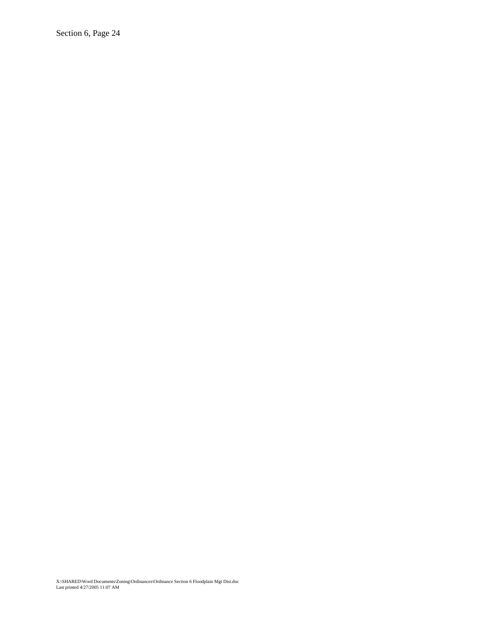Section 6, Page 24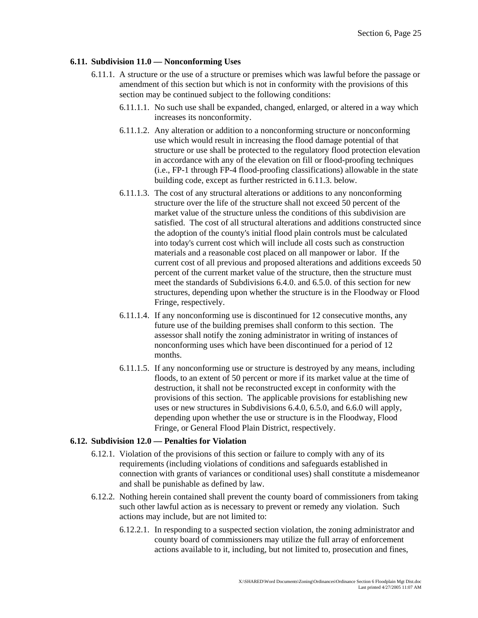### **6.11. Subdivision 11.0 — Nonconforming Uses**

- 6.11.1. A structure or the use of a structure or premises which was lawful before the passage or amendment of this section but which is not in conformity with the provisions of this section may be continued subject to the following conditions:
	- 6.11.1.1. No such use shall be expanded, changed, enlarged, or altered in a way which increases its nonconformity.
	- 6.11.1.2. Any alteration or addition to a nonconforming structure or nonconforming use which would result in increasing the flood damage potential of that structure or use shall be protected to the regulatory flood protection elevation in accordance with any of the elevation on fill or flood-proofing techniques (i.e., FP-1 through FP-4 flood-proofing classifications) allowable in the state building code, except as further restricted in 6.11.3. below.
	- 6.11.1.3. The cost of any structural alterations or additions to any nonconforming structure over the life of the structure shall not exceed 50 percent of the market value of the structure unless the conditions of this subdivision are satisfied. The cost of all structural alterations and additions constructed since the adoption of the county's initial flood plain controls must be calculated into today's current cost which will include all costs such as construction materials and a reasonable cost placed on all manpower or labor. If the current cost of all previous and proposed alterations and additions exceeds 50 percent of the current market value of the structure, then the structure must meet the standards of Subdivisions 6.4.0. and 6.5.0. of this section for new structures, depending upon whether the structure is in the Floodway or Flood Fringe, respectively.
	- 6.11.1.4. If any nonconforming use is discontinued for 12 consecutive months, any future use of the building premises shall conform to this section. The assessor shall notify the zoning administrator in writing of instances of nonconforming uses which have been discontinued for a period of 12 months.
	- 6.11.1.5. If any nonconforming use or structure is destroyed by any means, including floods, to an extent of 50 percent or more if its market value at the time of destruction, it shall not be reconstructed except in conformity with the provisions of this section. The applicable provisions for establishing new uses or new structures in Subdivisions 6.4.0, 6.5.0, and 6.6.0 will apply, depending upon whether the use or structure is in the Floodway, Flood Fringe, or General Flood Plain District, respectively.

#### **6.12. Subdivision 12.0 — Penalties for Violation**

- 6.12.1. Violation of the provisions of this section or failure to comply with any of its requirements (including violations of conditions and safeguards established in connection with grants of variances or conditional uses) shall constitute a misdemeanor and shall be punishable as defined by law.
- 6.12.2. Nothing herein contained shall prevent the county board of commissioners from taking such other lawful action as is necessary to prevent or remedy any violation. Such actions may include, but are not limited to:
	- 6.12.2.1. In responding to a suspected section violation, the zoning administrator and county board of commissioners may utilize the full array of enforcement actions available to it, including, but not limited to, prosecution and fines,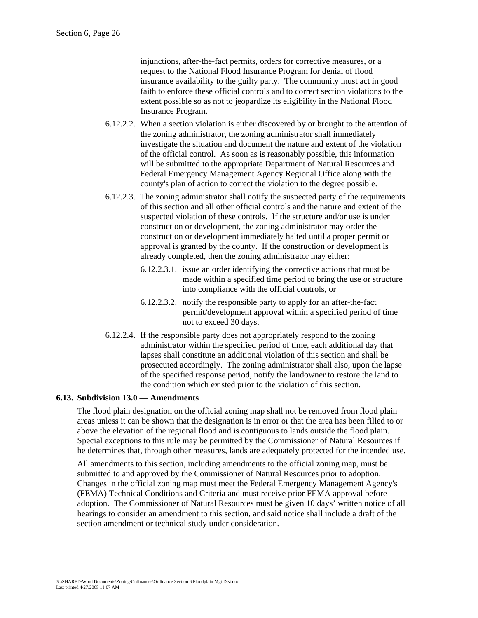injunctions, after-the-fact permits, orders for corrective measures, or a request to the National Flood Insurance Program for denial of flood insurance availability to the guilty party. The community must act in good faith to enforce these official controls and to correct section violations to the extent possible so as not to jeopardize its eligibility in the National Flood Insurance Program.

- 6.12.2.2. When a section violation is either discovered by or brought to the attention of the zoning administrator, the zoning administrator shall immediately investigate the situation and document the nature and extent of the violation of the official control. As soon as is reasonably possible, this information will be submitted to the appropriate Department of Natural Resources and Federal Emergency Management Agency Regional Office along with the county's plan of action to correct the violation to the degree possible.
- 6.12.2.3. The zoning administrator shall notify the suspected party of the requirements of this section and all other official controls and the nature and extent of the suspected violation of these controls. If the structure and/or use is under construction or development, the zoning administrator may order the construction or development immediately halted until a proper permit or approval is granted by the county. If the construction or development is already completed, then the zoning administrator may either:
	- 6.12.2.3.1. issue an order identifying the corrective actions that must be made within a specified time period to bring the use or structure into compliance with the official controls, or
	- 6.12.2.3.2. notify the responsible party to apply for an after-the-fact permit/development approval within a specified period of time not to exceed 30 days.
- 6.12.2.4. If the responsible party does not appropriately respond to the zoning administrator within the specified period of time, each additional day that lapses shall constitute an additional violation of this section and shall be prosecuted accordingly. The zoning administrator shall also, upon the lapse of the specified response period, notify the landowner to restore the land to the condition which existed prior to the violation of this section.

#### **6.13. Subdivision 13.0 — Amendments**

The flood plain designation on the official zoning map shall not be removed from flood plain areas unless it can be shown that the designation is in error or that the area has been filled to or above the elevation of the regional flood and is contiguous to lands outside the flood plain. Special exceptions to this rule may be permitted by the Commissioner of Natural Resources if he determines that, through other measures, lands are adequately protected for the intended use.

All amendments to this section, including amendments to the official zoning map, must be submitted to and approved by the Commissioner of Natural Resources prior to adoption. Changes in the official zoning map must meet the Federal Emergency Management Agency's (FEMA) Technical Conditions and Criteria and must receive prior FEMA approval before adoption. The Commissioner of Natural Resources must be given 10 days' written notice of all hearings to consider an amendment to this section, and said notice shall include a draft of the section amendment or technical study under consideration.